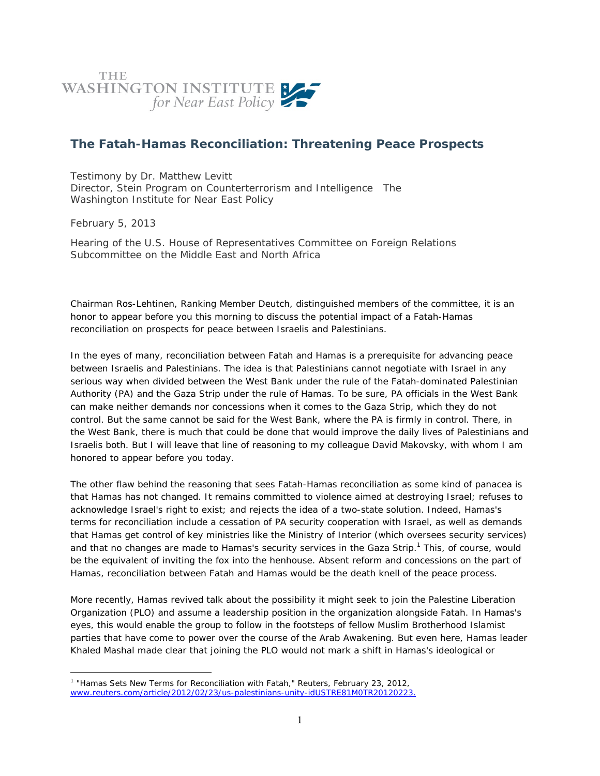

# **The Fatah-Hamas Reconciliation: Threatening Peace Prospects**

Testimony by Dr. Matthew Levitt Director, Stein Program on Counterterrorism and Intelligence The Washington Institute for Near East Policy

February 5, 2013

Hearing of the U.S. House of Representatives Committee on Foreign Relations Subcommittee on the Middle East and North Africa

Chairman Ros-Lehtinen, Ranking Member Deutch, distinguished members of the committee, it is an honor to appear before you this morning to discuss the potential impact of a Fatah-Hamas reconciliation on prospects for peace between Israelis and Palestinians.

In the eyes of many, reconciliation between Fatah and Hamas is a prerequisite for advancing peace between Israelis and Palestinians. The idea is that Palestinians cannot negotiate with Israel in any serious way when divided between the West Bank under the rule of the Fatah-dominated Palestinian Authority (PA) and the Gaza Strip under the rule of Hamas. To be sure, PA officials in the West Bank can make neither demands nor concessions when it comes to the Gaza Strip, which they do not control. But the same cannot be said for the West Bank, where the PA is firmly in control. There, in the West Bank, there is much that could be done that would improve the daily lives of Palestinians and Israelis both. But I will leave that line of reasoning to my colleague David Makovsky, with whom I am honored to appear before you today.

The other flaw behind the reasoning that sees Fatah-Hamas reconciliation as some kind of panacea is that Hamas has not changed. It remains committed to violence aimed at destroying Israel; refuses to acknowledge Israel's right to exist; and rejects the idea of a two-state solution. Indeed, Hamas's terms for reconciliation include a cessation of PA security cooperation with Israel, as well as demands that Hamas get control of key ministries like the Ministry of Interior (which oversees security services) and that no changes are made to Hamas's security services in the Gaza Strip.<sup>1</sup> This, of course, would be the equivalent of inviting the fox into the henhouse. Absent reform and concessions on the part of Hamas, reconciliation between Fatah and Hamas would be the death knell of the peace process.

More recently, Hamas revived talk about the possibility it might seek to join the Palestine Liberation Organization (PLO) and assume a leadership position in the organization alongside Fatah. In Hamas's eyes, this would enable the group to follow in the footsteps of fellow Muslim Brotherhood Islamist parties that have come to power over the course of the Arab Awakening. But even here, Hamas leader Khaled Mashal made clear that joining the PLO would not mark a shift in Hamas's ideological or

<sup>&</sup>lt;sup>1</sup> "Hamas Sets New Terms for Reconciliation with Fatah," Reuters, February 23, 2012, www.reuters.com/article/2012/02/23/us-palestinians-unity-idUSTRE81M0TR20120223.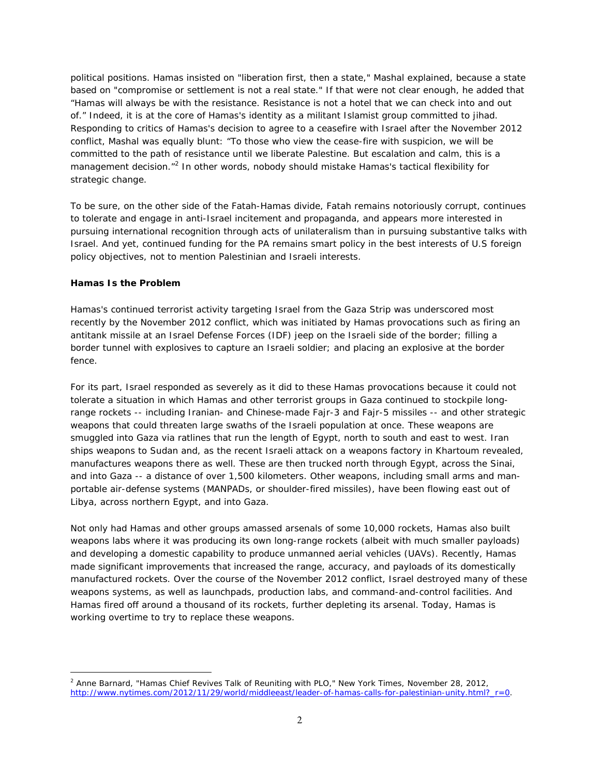political positions. Hamas insisted on "liberation first, then a state," Mashal explained, because a state based on "compromise or settlement is not a real state." If that were not clear enough, he added that "Hamas will always be with the resistance. Resistance is not a hotel that we can check into and out of." Indeed, it is at the core of Hamas's identity as a militant Islamist group committed to jihad. Responding to critics of Hamas's decision to agree to a ceasefire with Israel after the November 2012 conflict, Mashal was equally blunt: "To those who view the cease-fire with suspicion, we will be committed to the path of resistance until we liberate Palestine. But escalation and calm, this is a management decision."<sup>2</sup> In other words, nobody should mistake Hamas's tactical flexibility for strategic change.

To be sure, on the other side of the Fatah-Hamas divide, Fatah remains notoriously corrupt, continues to tolerate and engage in anti-Israel incitement and propaganda, and appears more interested in pursuing international recognition through acts of unilateralism than in pursuing substantive talks with Israel. And yet, continued funding for the PA remains smart policy in the best interests of U.S foreign policy objectives, not to mention Palestinian and Israeli interests.

## **Hamas Is the Problem**

 $\overline{a}$ 

Hamas's continued terrorist activity targeting Israel from the Gaza Strip was underscored most recently by the November 2012 conflict, which was initiated by Hamas provocations such as firing an antitank missile at an Israel Defense Forces (IDF) jeep on the Israeli side of the border; filling a border tunnel with explosives to capture an Israeli soldier; and placing an explosive at the border fence.

For its part, Israel responded as severely as it did to these Hamas provocations because it could not tolerate a situation in which Hamas and other terrorist groups in Gaza continued to stockpile longrange rockets -- including Iranian- and Chinese-made Fajr-3 and Fajr-5 missiles -- and other strategic weapons that could threaten large swaths of the Israeli population at once. These weapons are smuggled into Gaza via ratlines that run the length of Egypt, north to south and east to west. Iran ships weapons to Sudan and, as the recent Israeli attack on a weapons factory in Khartoum revealed, manufactures weapons there as well. These are then trucked north through Egypt, across the Sinai, and into Gaza -- a distance of over 1,500 kilometers. Other weapons, including small arms and manportable air-defense systems (MANPADs, or shoulder-fired missiles), have been flowing east out of Libya, across northern Egypt, and into Gaza.

Not only had Hamas and other groups amassed arsenals of some 10,000 rockets, Hamas also built weapons labs where it was producing its own long-range rockets (albeit with much smaller payloads) and developing a domestic capability to produce unmanned aerial vehicles (UAVs). Recently, Hamas made significant improvements that increased the range, accuracy, and payloads of its domestically manufactured rockets. Over the course of the November 2012 conflict, Israel destroyed many of these weapons systems, as well as launchpads, production labs, and command-and-control facilities. And Hamas fired off around a thousand of its rockets, further depleting its arsenal. Today, Hamas is working overtime to try to replace these weapons.

<sup>2</sup> Anne Barnard, "Hamas Chief Revives Talk of Reuniting with PLO," *New York Times*, November 28, 2012, http://www.nytimes.com/2012/11/29/world/middleeast/leader-of-hamas-calls-for-palestinian-unity.html?\_r=0.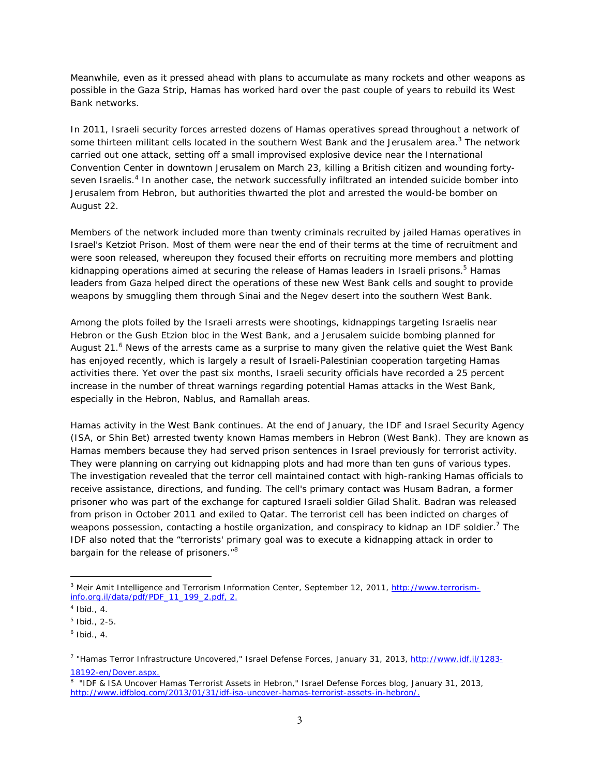Meanwhile, even as it pressed ahead with plans to accumulate as many rockets and other weapons as possible in the Gaza Strip, Hamas has worked hard over the past couple of years to rebuild its West Bank networks.

In 2011, Israeli security forces arrested dozens of Hamas operatives spread throughout a network of some thirteen militant cells located in the southern West Bank and the Jerusalem area.<sup>3</sup> The network carried out one attack, setting off a small improvised explosive device near the International Convention Center in downtown Jerusalem on March 23, killing a British citizen and wounding fortyseven Israelis.<sup>4</sup> In another case, the network successfully infiltrated an intended suicide bomber into Jerusalem from Hebron, but authorities thwarted the plot and arrested the would-be bomber on August 22.

Members of the network included more than twenty criminals recruited by jailed Hamas operatives in Israel's Ketziot Prison. Most of them were near the end of their terms at the time of recruitment and were soon released, whereupon they focused their efforts on recruiting more members and plotting kidnapping operations aimed at securing the release of Hamas leaders in Israeli prisons.<sup>5</sup> Hamas leaders from Gaza helped direct the operations of these new West Bank cells and sought to provide weapons by smuggling them through Sinai and the Negev desert into the southern West Bank.

Among the plots foiled by the Israeli arrests were shootings, kidnappings targeting Israelis near Hebron or the Gush Etzion bloc in the West Bank, and a Jerusalem suicide bombing planned for August 21.<sup>6</sup> News of the arrests came as a surprise to many given the relative quiet the West Bank has enjoyed recently, which is largely a result of Israeli-Palestinian cooperation targeting Hamas activities there. Yet over the past six months, Israeli security officials have recorded a 25 percent increase in the number of threat warnings regarding potential Hamas attacks in the West Bank, especially in the Hebron, Nablus, and Ramallah areas.

Hamas activity in the West Bank continues. At the end of January, the IDF and Israel Security Agency (ISA, or Shin Bet) arrested twenty known Hamas members in Hebron (West Bank). They are known as Hamas members because they had served prison sentences in Israel previously for terrorist activity. They were planning on carrying out kidnapping plots and had more than ten guns of various types. The investigation revealed that the terror cell maintained contact with high-ranking Hamas officials to receive assistance, directions, and funding. The cell's primary contact was Husam Badran, a former prisoner who was part of the exchange for captured Israeli soldier Gilad Shalit. Badran was released from prison in October 2011 and exiled to Qatar. The terrorist cell has been indicted on charges of weapons possession, contacting a hostile organization, and conspiracy to kidnap an IDF soldier.<sup>7</sup> The IDF also noted that the "terrorists' primary goal was to execute a kidnapping attack in order to bargain for the release of prisoners."<sup>8</sup>

<sup>&</sup>lt;sup>3</sup> Meir Amit Intelligence and Terrorism Information Center, September 12, 2011, http://www.terrorisminfo.org.il/data/pdf/PDF\_11\_199\_2.pdf, 2.

 $<sup>4</sup>$  Ibid., 4.</sup>

 $<sup>5</sup>$  Ibid., 2-5.</sup>

 $^6$  Ibid., 4.

<sup>&</sup>lt;sup>7</sup> "Hamas Terror Infrastructure Uncovered," Israel Defense Forces, January 31, 2013, http://www.idf.il/1283-18192-en/Dover.aspx.

<sup>&</sup>lt;sup>8</sup> "IDF & ISA Uncover Hamas Terrorist Assets in Hebron," Israel Defense Forces blog, January 31, 2013, http://www.idfblog.com/2013/01/31/idf-isa-uncover-hamas-terrorist-assets-in-hebron/.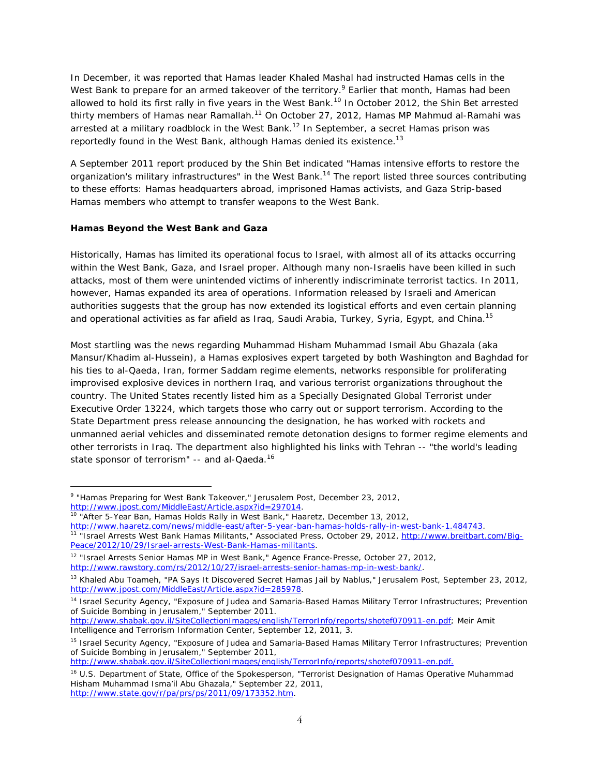In December, it was reported that Hamas leader Khaled Mashal had instructed Hamas cells in the West Bank to prepare for an armed takeover of the territory.<sup>9</sup> Earlier that month, Hamas had been allowed to hold its first rally in five years in the West Bank.<sup>10</sup> In October 2012, the Shin Bet arrested thirty members of Hamas near Ramallah.<sup>11</sup> On October 27, 2012, Hamas MP Mahmud al-Ramahi was arrested at a military roadblock in the West Bank.<sup>12</sup> In September, a secret Hamas prison was reportedly found in the West Bank, although Hamas denied its existence.<sup>13</sup>

A September 2011 report produced by the Shin Bet indicated "Hamas intensive efforts to restore the organization's military infrastructures" in the West Bank.<sup>14</sup> The report listed three sources contributing to these efforts: Hamas headquarters abroad, imprisoned Hamas activists, and Gaza Strip-based Hamas members who attempt to transfer weapons to the West Bank.

## **Hamas Beyond the West Bank and Gaza**

 $\overline{a}$ 

Historically, Hamas has limited its operational focus to Israel, with almost all of its attacks occurring within the West Bank, Gaza, and Israel proper. Although many non-Israelis have been killed in such attacks, most of them were unintended victims of inherently indiscriminate terrorist tactics. In 2011, however, Hamas expanded its area of operations. Information released by Israeli and American authorities suggests that the group has now extended its logistical efforts and even certain planning and operational activities as far afield as Iraq, Saudi Arabia, Turkey, Syria, Egypt, and China.<sup>15</sup>

Most startling was the news regarding Muhammad Hisham Muhammad Ismail Abu Ghazala (aka Mansur/Khadim al-Hussein), a Hamas explosives expert targeted by both Washington and Baghdad for his ties to al-Qaeda, Iran, former Saddam regime elements, networks responsible for proliferating improvised explosive devices in northern Iraq, and various terrorist organizations throughout the country. The United States recently listed him as a Specially Designated Global Terrorist under Executive Order 13224, which targets those who carry out or support terrorism. According to the State Department press release announcing the designation, he has worked with rockets and unmanned aerial vehicles and disseminated remote detonation designs to former regime elements and other terrorists in Iraq. The department also highlighted his links with Tehran -- "the world's leading state sponsor of terrorism" -- and al-Qaeda.<sup>16</sup>

http://www.shabak.gov.il/SiteCollectionImages/english/TerrorInfo/reports/shotef070911-en.pdf; Meir Amit Intelligence and Terrorism Information Center, September 12, 2011, 3.

<sup>9</sup> "Hamas Preparing for West Bank Takeover," *Jerusalem Post*, December 23, 2012, http://www.jpost.com/MiddleEast/Article.aspx?id=297014. 10 "After 5-Year Ban, Hamas Holds Rally in West Bank," *Haaretz*, December 13, 2012,

http://www.haaretz.com/news/middle-east/after-5-year-ban-hamas-holds-rally-in-west-bank-1.484743.<br><sup>11</sup> "Israel Arrests West Bank Hamas Militants," Associated Press, October 29, 2012, http://www.breitbart.com/Big-Peace/2012/10/29/Israel-arrests-West-Bank-Hamas-militants.

<sup>&</sup>lt;sup>12</sup> "Israel Arrests Senior Hamas MP in West Bank," Agence France-Presse, October 27, 2012, http://www.rawstory.com/rs/2012/10/27/israel-arrests-senior-hamas-mp-in-west-bank/.

<sup>13</sup> Khaled Abu Toameh, "PA Says It Discovered Secret Hamas Jail by Nablus," *Jerusalem Post*, September 23, 2012, http://www.jpost.com/MiddleEast/Article.aspx?id=285978.

<sup>14</sup> Israel Security Agency, "Exposure of Judea and Samaria-Based Hamas Military Terror Infrastructures; Prevention of Suicide Bombing in Jerusalem," September 2011.

<sup>&</sup>lt;sup>15</sup> Israel Security Agency, "Exposure of Judea and Samaria-Based Hamas Military Terror Infrastructures; Prevention of Suicide Bombing in Jerusalem," September 2011,

http://www.shabak.gov.il/SiteCollectionImages/english/TerrorInfo/reports/shotef070911-en.pdf.

<sup>&</sup>lt;sup>16</sup> U.S. Department of State, Office of the Spokesperson, "Terrorist Designation of Hamas Operative Muhammad Hisham Muhammad Isma'il Abu Ghazala," September 22, 2011, http://www.state.gov/r/pa/prs/ps/2011/09/173352.htm.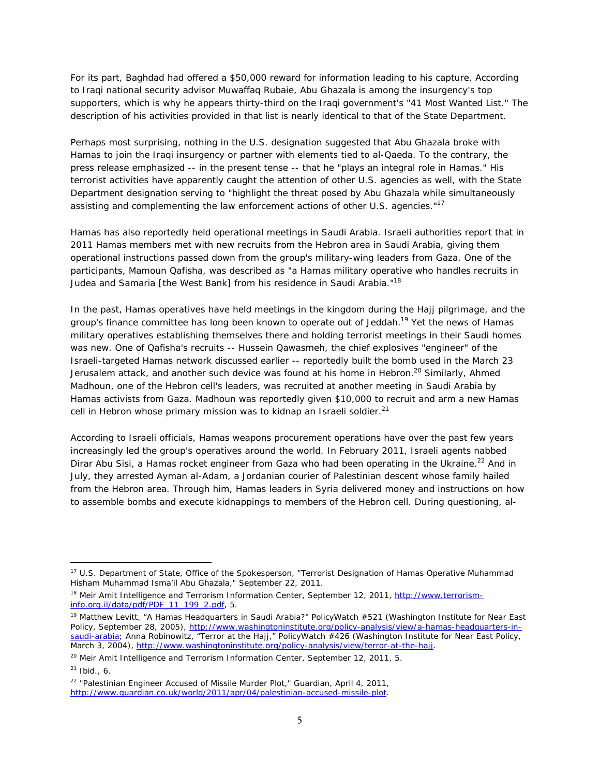For its part, Baghdad had offered a \$50,000 reward for information leading to his capture. According to Iraqi national security advisor Muwaffaq Rubaie, Abu Ghazala is among the insurgency's top supporters, which is why he appears thirty-third on the Iraqi government's "41 Most Wanted List." The description of his activities provided in that list is nearly identical to that of the State Department.

Perhaps most surprising, nothing in the U.S. designation suggested that Abu Ghazala broke with Hamas to join the Iraqi insurgency or partner with elements tied to al-Qaeda. To the contrary, the press release emphasized -- in the present tense -- that he "plays an integral role in Hamas." His terrorist activities have apparently caught the attention of other U.S. agencies as well, with the State Department designation serving to "highlight the threat posed by Abu Ghazala while simultaneously assisting and complementing the law enforcement actions of other U.S. agencies."<sup>17</sup>

Hamas has also reportedly held operational meetings in Saudi Arabia. Israeli authorities report that in 2011 Hamas members met with new recruits from the Hebron area in Saudi Arabia, giving them operational instructions passed down from the group's military-wing leaders from Gaza. One of the participants, Mamoun Qafisha, was described as "a Hamas military operative who handles recruits in Judea and Samaria [the West Bank] from his residence in Saudi Arabia."18

In the past, Hamas operatives have held meetings in the kingdom during the Hajj pilgrimage, and the group's finance committee has long been known to operate out of Jeddah.<sup>19</sup> Yet the news of Hamas military operatives establishing themselves there and holding terrorist meetings in their Saudi homes was new. One of Qafisha's recruits -- Hussein Qawasmeh, the chief explosives "engineer" of the Israeli-targeted Hamas network discussed earlier -- reportedly built the bomb used in the March 23 Jerusalem attack, and another such device was found at his home in Hebron.<sup>20</sup> Similarly, Ahmed Madhoun, one of the Hebron cell's leaders, was recruited at another meeting in Saudi Arabia by Hamas activists from Gaza. Madhoun was reportedly given \$10,000 to recruit and arm a new Hamas cell in Hebron whose primary mission was to kidnap an Israeli soldier.<sup>21</sup>

According to Israeli officials, Hamas weapons procurement operations have over the past few years increasingly led the group's operatives around the world. In February 2011, Israeli agents nabbed Dirar Abu Sisi, a Hamas rocket engineer from Gaza who had been operating in the Ukraine.<sup>22</sup> And in July, they arrested Ayman al-Adam, a Jordanian courier of Palestinian descent whose family hailed from the Hebron area. Through him, Hamas leaders in Syria delivered money and instructions on how to assemble bombs and execute kidnappings to members of the Hebron cell. During questioning, al-

<sup>&</sup>lt;sup>17</sup> U.S. Department of State, Office of the Spokesperson, "Terrorist Designation of Hamas Operative Muhammad Hisham Muhammad Isma'il Abu Ghazala," September 22, 2011.

<sup>&</sup>lt;sup>18</sup> Meir Amit Intelligence and Terrorism Information Center, September 12, 2011, http://www.terrorisminfo.org.il/data/pdf/PDF\_11\_199\_2.pdf, 5.

<sup>&</sup>lt;sup>19</sup> Matthew Levitt, "A Hamas Headquarters in Saudi Arabia?" PolicyWatch #521 (Washington Institute for Near East Policy, September 28, 2005), http://www.washingtoninstitute.org/policy-analysis/view/a-hamas-headquarters-insaudi-arabia; Anna Robinowitz, "Terror at the Hajj," PolicyWatch #426 (Washington Institute for Near East Policy, March 3, 2004), http://www.washingtoninstitute.org/policy-analysis/view/terror-at-the-hajj.

<sup>&</sup>lt;sup>20</sup> Meir Amit Intelligence and Terrorism Information Center, September 12, 2011, 5.

 $21$  Ibid., 6.

<sup>22 &</sup>quot;Palestinian Engineer Accused of Missile Murder Plot," *Guardian*, April 4, 2011, http://www.guardian.co.uk/world/2011/apr/04/palestinian-accused-missile-plot.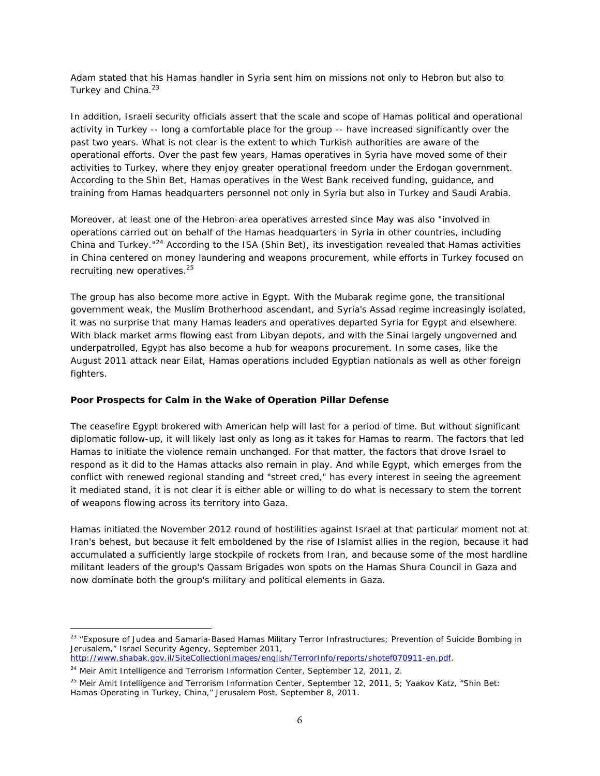Adam stated that his Hamas handler in Syria sent him on missions not only to Hebron but also to Turkey and China.<sup>23</sup>

In addition, Israeli security officials assert that the scale and scope of Hamas political and operational activity in Turkey -- long a comfortable place for the group -- have increased significantly over the past two years. What is not clear is the extent to which Turkish authorities are aware of the operational efforts. Over the past few years, Hamas operatives in Syria have moved some of their activities to Turkey, where they enjoy greater operational freedom under the Erdogan government. According to the Shin Bet, Hamas operatives in the West Bank received funding, guidance, and training from Hamas headquarters personnel not only in Syria but also in Turkey and Saudi Arabia.

Moreover, at least one of the Hebron-area operatives arrested since May was also "involved in operations carried out on behalf of the Hamas headquarters in Syria in other countries, including China and Turkey."24 According to the ISA (Shin Bet), its investigation revealed that Hamas activities in China centered on money laundering and weapons procurement, while efforts in Turkey focused on recruiting new operatives.<sup>25</sup>

The group has also become more active in Egypt. With the Mubarak regime gone, the transitional government weak, the Muslim Brotherhood ascendant, and Syria's Assad regime increasingly isolated, it was no surprise that many Hamas leaders and operatives departed Syria for Egypt and elsewhere. With black market arms flowing east from Libyan depots, and with the Sinai largely ungoverned and underpatrolled, Egypt has also become a hub for weapons procurement. In some cases, like the August 2011 attack near Eilat, Hamas operations included Egyptian nationals as well as other foreign fighters.

#### **Poor Prospects for Calm in the Wake of Operation Pillar Defense**

The ceasefire Egypt brokered with American help will last for a period of time. But without significant diplomatic follow-up, it will likely last only as long as it takes for Hamas to rearm. The factors that led Hamas to initiate the violence remain unchanged. For that matter, the factors that drove Israel to respond as it did to the Hamas attacks also remain in play. And while Egypt, which emerges from the conflict with renewed regional standing and "street cred," has every interest in seeing the agreement it mediated stand, it is not clear it is either able or willing to do what is necessary to stem the torrent of weapons flowing across its territory into Gaza.

Hamas initiated the November 2012 round of hostilities against Israel at that particular moment not at Iran's behest, but because it felt emboldened by the rise of Islamist allies in the region, because it had accumulated a sufficiently large stockpile of rockets from Iran, and because some of the most hardline militant leaders of the group's Qassam Brigades won spots on the Hamas Shura Council in Gaza and now dominate both the group's military and political elements in Gaza.

<sup>&</sup>lt;sup>23</sup> "Exposure of Judea and Samaria-Based Hamas Military Terror Infrastructures; Prevention of Suicide Bombing in Jerusalem," Israel Security Agency, September 2011, http://www.shabak.gov.il/SiteCollectionImages/english/TerrorInfo/reports/shotef070911-en.pdf.

 $24$  Meir Amit Intelligence and Terrorism Information Center, September 12, 2011, 2.

<sup>&</sup>lt;sup>25</sup> Meir Amit Intelligence and Terrorism Information Center, September 12, 2011, 5; Yaakov Katz, "Shin Bet: Hamas Operating in Turkey, China," *Jerusalem Post*, September 8, 2011.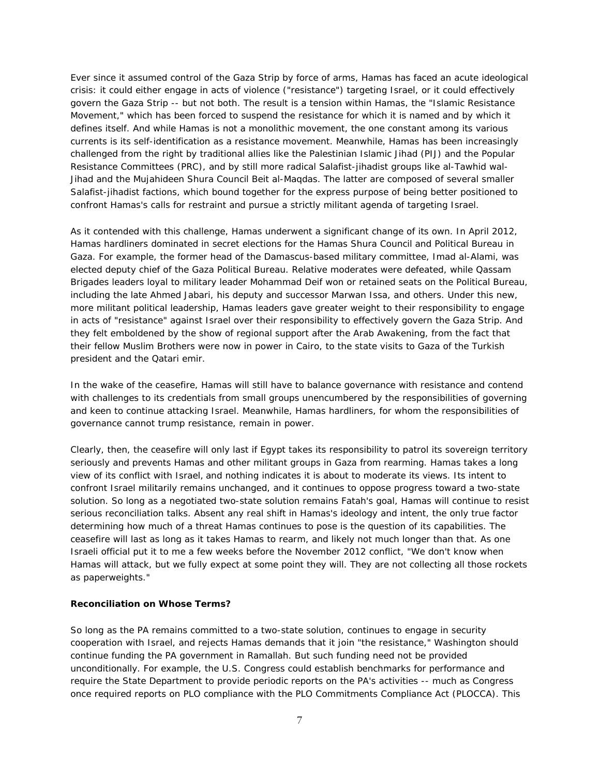Ever since it assumed control of the Gaza Strip by force of arms, Hamas has faced an acute ideological crisis: it could either engage in acts of violence ("resistance") targeting Israel, or it could effectively govern the Gaza Strip -- but not both. The result is a tension within Hamas, the "Islamic Resistance Movement," which has been forced to suspend the resistance for which it is named and by which it defines itself. And while Hamas is not a monolithic movement, the one constant among its various currents is its self-identification as a resistance movement. Meanwhile, Hamas has been increasingly challenged from the right by traditional allies like the Palestinian Islamic Jihad (PIJ) and the Popular Resistance Committees (PRC), and by still more radical Salafist-jihadist groups like al-Tawhid wal-Jihad and the Mujahideen Shura Council Beit al-Maqdas. The latter are composed of several smaller Salafist-jihadist factions, which bound together for the express purpose of being better positioned to confront Hamas's calls for restraint and pursue a strictly militant agenda of targeting Israel.

As it contended with this challenge, Hamas underwent a significant change of its own. In April 2012, Hamas hardliners dominated in secret elections for the Hamas Shura Council and Political Bureau in Gaza. For example, the former head of the Damascus-based military committee, Imad al-Alami, was elected deputy chief of the Gaza Political Bureau. Relative moderates were defeated, while Qassam Brigades leaders loyal to military leader Mohammad Deif won or retained seats on the Political Bureau, including the late Ahmed Jabari, his deputy and successor Marwan Issa, and others. Under this new, more militant political leadership, Hamas leaders gave greater weight to their responsibility to engage in acts of "resistance" against Israel over their responsibility to effectively govern the Gaza Strip. And they felt emboldened by the show of regional support after the Arab Awakening, from the fact that their fellow Muslim Brothers were now in power in Cairo, to the state visits to Gaza of the Turkish president and the Qatari emir.

In the wake of the ceasefire, Hamas will still have to balance governance with resistance and contend with challenges to its credentials from small groups unencumbered by the responsibilities of governing and keen to continue attacking Israel. Meanwhile, Hamas hardliners, for whom the responsibilities of governance cannot trump resistance, remain in power.

Clearly, then, the ceasefire will only last if Egypt takes its responsibility to patrol its sovereign territory seriously and prevents Hamas and other militant groups in Gaza from rearming. Hamas takes a long view of its conflict with Israel, and nothing indicates it is about to moderate its views. Its intent to confront Israel militarily remains unchanged, and it continues to oppose progress toward a two-state solution. So long as a negotiated two-state solution remains Fatah's goal, Hamas will continue to resist serious reconciliation talks. Absent any real shift in Hamas's ideology and intent, the only true factor determining how much of a threat Hamas continues to pose is the question of its capabilities. The ceasefire will last as long as it takes Hamas to rearm, and likely not much longer than that. As one Israeli official put it to me a few weeks before the November 2012 conflict, "We don't know when Hamas will attack, but we fully expect at some point they will. They are not collecting all those rockets as paperweights."

## **Reconciliation on Whose Terms?**

So long as the PA remains committed to a two-state solution, continues to engage in security cooperation with Israel, and rejects Hamas demands that it join "the resistance," Washington should continue funding the PA government in Ramallah. But such funding need not be provided unconditionally. For example, the U.S. Congress could establish benchmarks for performance and require the State Department to provide periodic reports on the PA's activities -- much as Congress once required reports on PLO compliance with the PLO Commitments Compliance Act (PLOCCA). This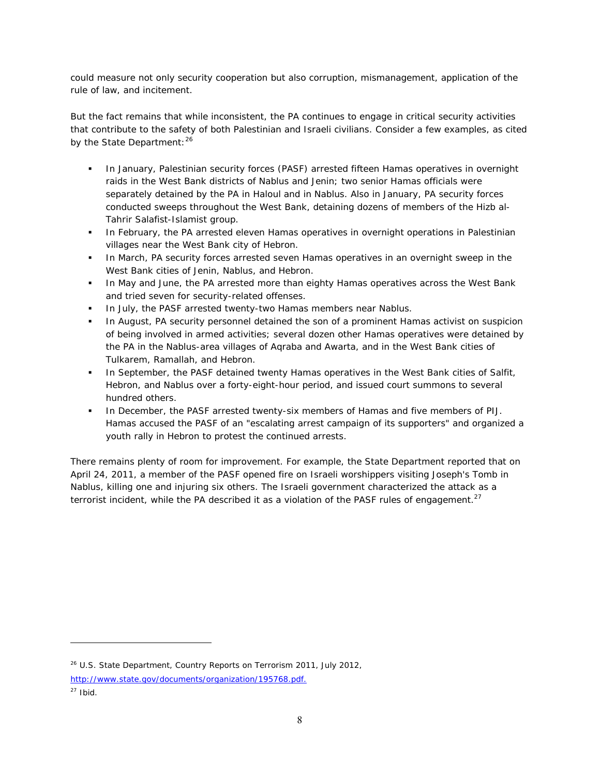could measure not only security cooperation but also corruption, mismanagement, application of the rule of law, and incitement.

But the fact remains that while inconsistent, the PA continues to engage in critical security activities that contribute to the safety of both Palestinian and Israeli civilians. Consider a few examples, as cited by the State Department: 26

- **In January, Palestinian security forces (PASF) arrested fifteen Hamas operatives in overnight** raids in the West Bank districts of Nablus and Jenin; two senior Hamas officials were separately detained by the PA in Haloul and in Nablus. Also in January, PA security forces conducted sweeps throughout the West Bank, detaining dozens of members of the Hizb al-Tahrir Salafist-Islamist group.
- In February, the PA arrested eleven Hamas operatives in overnight operations in Palestinian villages near the West Bank city of Hebron.
- In March, PA security forces arrested seven Hamas operatives in an overnight sweep in the West Bank cities of Jenin, Nablus, and Hebron.
- In May and June, the PA arrested more than eighty Hamas operatives across the West Bank and tried seven for security-related offenses.
- In July, the PASF arrested twenty-two Hamas members near Nablus.
- In August, PA security personnel detained the son of a prominent Hamas activist on suspicion of being involved in armed activities; several dozen other Hamas operatives were detained by the PA in the Nablus-area villages of Aqraba and Awarta, and in the West Bank cities of Tulkarem, Ramallah, and Hebron.
- In September, the PASF detained twenty Hamas operatives in the West Bank cities of Salfit, Hebron, and Nablus over a forty-eight-hour period, and issued court summons to several hundred others.
- In December, the PASF arrested twenty-six members of Hamas and five members of PIJ. Hamas accused the PASF of an "escalating arrest campaign of its supporters" and organized a youth rally in Hebron to protest the continued arrests.

There remains plenty of room for improvement. For example, the State Department reported that on April 24, 2011, a member of the PASF opened fire on Israeli worshippers visiting Joseph's Tomb in Nablus, killing one and injuring six others. The Israeli government characterized the attack as a terrorist incident, while the PA described it as a violation of the PASF rules of engagement. $27$ 

<sup>26</sup> U.S. State Department, *Country Reports on Terrorism 2011*, July 2012,

http://www.state.gov/documents/organization/195768.pdf.

 $27$  Ibid.